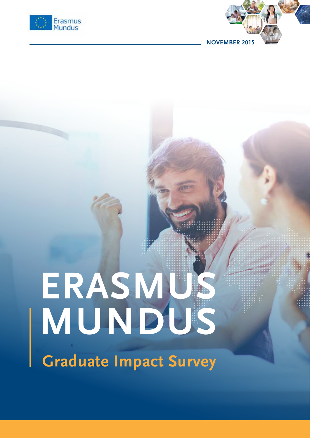



# **ERASMUS MUNDUS Graduate Impact Survey**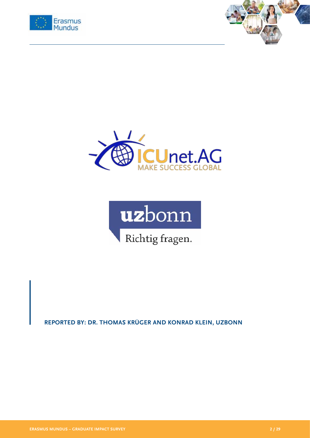







**REPORTED BY: DR. THOMAS KRÜGER AND KONRAD KLEIN, UZBONN**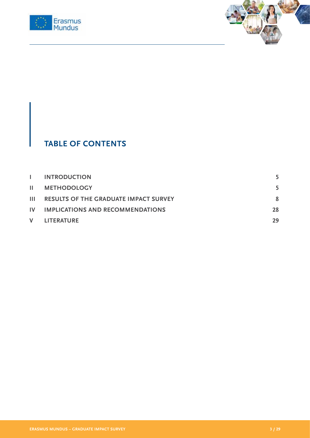



# **TABLE OF CONTENTS**

| L. | <b>INTRODUCTION</b>                              |    |
|----|--------------------------------------------------|----|
|    | <b>II METHODOLOGY</b>                            |    |
|    | <b>III RESULTS OF THE GRADUATE IMPACT SURVEY</b> | 8  |
|    | IV IMPLICATIONS AND RECOMMENDATIONS              | 28 |
|    | V LITERATURE                                     | 29 |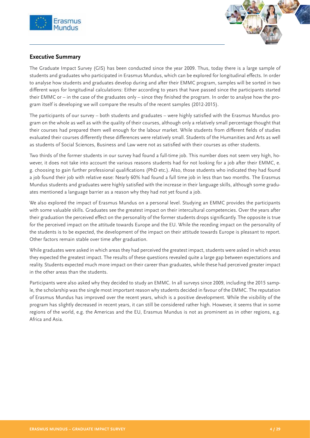



# **Executive Summary**

The Graduate Impact Survey (GIS) has been conducted since the year 2009. Thus, today there is a large sample of students and graduates who participated in Erasmus Mundus, which can be explored for longitudinal effects. In order to analyse how students and graduates develop during and after their EMMC program, samples will be sorted in two different ways for longitudinal calculations: Either according to years that have passed since the participants started their EMMC or – in the case of the graduates only – since they finished the program. In order to analyse how the program itself is developing we will compare the results of the recent samples (2012-2015).

The participants of our survey – both students and graduates – were highly satisfied with the Erasmus Mundus program on the whole as well as with the quality of their courses, although only a relatively small percentage thought that their courses had prepared them well enough for the labour market. While students from different fields of studies evaluated their courses differently these differences were relatively small. Students of the Humanities and Arts as well as students of Social Sciences, Business and Law were not as satisfied with their courses as other students.

Two thirds of the former students in our survey had found a full-time job. This number does not seem very high, however, it does not take into account the various reasons students had for not looking for a job after their EMMC, e. g. choosing to gain further professional qualifications (PhD etc.). Also, those students who indicated they had found a job found their job with relative ease: Nearly 60% had found a full time job in less than two months. The Erasmus Mundus students and graduates were highly satisfied with the increase in their language skills, although some graduates mentioned a language barrier as a reason why they had not yet found a job.

We also explored the impact of Erasmus Mundus on a personal level. Studying an EMMC provides the participants with some valuable skills. Graduates see the greatest impact on their intercultural competencies. Over the years after their graduation the perceived effect on the personality of the former students drops significantly. The opposite is true for the perceived impact on the attitude towards Europe and the EU. While the receding impact on the personality of the students is to be expected, the development of the impact on their attitude towards Europe is pleasant to report. Other factors remain stable over time after graduation.

While graduates were asked in which areas they had perceived the greatest impact, students were asked in which areas they expected the greatest impact. The results of these questions revealed quite a large gap between expectations and reality. Students expected much more impact on their career than graduates, while these had perceived greater impact in the other areas than the students.

Participants were also asked why they decided to study an EMMC. In all surveys since 2009, including the 2015 sample, the scholarship was the single most important reason why students decided in favour of the EMMC. The reputation of Erasmus Mundus has improved over the recent years, which is a positive development. While the visibility of the program has slightly decreased in recent years, it can still be considered rather high. However, it seems that in some regions of the world, e.g. the Americas and the EU, Erasmus Mundus is not as prominent as in other regions, e.g. Africa and Asia.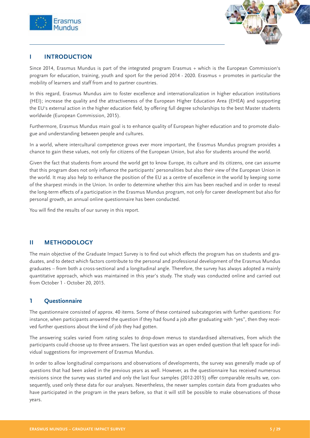



# **I INTRODUCTION**

Since 2014, Erasmus Mundus is part of the integrated program Erasmus + which is the European Commission's program for education, training, youth and sport for the period 2014 - 2020. Erasmus + promotes in particular the mobility of learners and staff from and to partner countries.

In this regard, Erasmus Mundus aim to foster excellence and internationalization in higher education institutions (HEI); increase the quality and the attractiveness of the European Higher Education Area (EHEA) and supporting the EU's external action in the higher education field, by offering full degree scholarships to the best Master students worldwide (European Commission, 2015).

Furthermore, Erasmus Mundus main goal is to enhance quality of European higher education and to promote dialogue and understanding between people and cultures.

In a world, where intercultural competence grows ever more important, the Erasmus Mundus program provides a chance to gain these values, not only for citizens of the European Union, but also for students around the world.

Given the fact that students from around the world get to know Europe, its culture and its citizens, one can assume that this program does not only influence the participants' personalities but also their view of the European Union in the world. It may also help to enhance the position of the EU as a centre of excellence in the world by keeping some of the sharpest minds in the Union. In order to determine whether this aim has been reached and in order to reveal the long-term effects of a participation in the Erasmus Mundus program, not only for career development but also for personal growth, an annual online questionnaire has been conducted.

You will find the results of our survey in this report.

# **II METHODOLOGY**

The main objective of the Graduate Impact Survey is to find out which effects the program has on students and graduates, and to detect which factors contribute to the personal and professional development of the Erasmus Mundus graduates – from both a cross-sectional and a longitudinal angle. Therefore, the survey has always adopted a mainly quantitative approach, which was maintained in this year's study. The study was conducted online and carried out from October 1 - October 20, 2015.

# **1 Questionnaire**

The questionnaire consisted of approx. 40 items. Some of these contained subcategories with further questions: For instance, when participants answered the question if they had found a job after graduating with "yes", then they received further questions about the kind of job they had gotten.

The answering scales varied from rating scales to drop-down menus to standardised alternatives, from which the participants could choose up to three answers. The last question was an open ended question that left space for individual suggestions for improvement of Erasmus Mundus.

In order to allow longitudinal comparisons and observations of developments, the survey was generally made up of questions that had been asked in the previous years as well. However, as the questionnaire has received numerous revisions since the survey was started and only the last four samples (2012-2015) offer comparable results we, consequently, used only these data for our analyses. Nevertheless, the newer samples contain data from graduates who have participated in the program in the years before, so that it will still be possible to make observations of those years.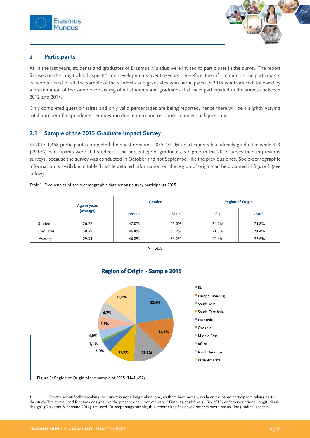



# **2 Participants**

As in the last years, students and graduates of Erasmus Mundus were invited to participate in the survey. The report focuses on the longitudinal aspects<sup>1</sup> and developments over the years. Therefore, the information on the participants is twofold: First of all, the sample of the students and graduates who participated in 2015 is introduced, followed by a presentation of the sample consisting of all students and graduates that have participated in the surveys between 2012 and 2014.

Only completed questionnaires and only valid percentages are being reported, hence there will be a slightly varying total number of respondents per question due to item non-response to individual questions.

# **2.1 Sample of the 2015 Graduate Impact Survey**

In 2015 1,458 participants completed the questionnaire. 1,035 (71.0%) participants had already graduated while 423 (29.0%) participants were still students. The percentage of graduates is higher in the 2015 survey than in previous surveys, because the survey was conducted in October and not September like the previous ones. Socio-demographic information is available in table 1, while detailed information on the region of origin can be obtained in figure 1 (see below).

### Table 1: Frequencies of socio-demographic data among survey participants 2015

|           | Age in years | <b>Gender</b> |       | <b>Region of Origin</b> |        |  |  |  |
|-----------|--------------|---------------|-------|-------------------------|--------|--|--|--|
|           | (average)    | Female        | Male  | EU                      | Non-EU |  |  |  |
| Students  | 26.27        | 47.0%         | 53.0% | 24.2%                   | 75.8%  |  |  |  |
| Graduates | 30.59        | 46.8%         | 53.2% | 21.6%                   | 78.4%  |  |  |  |
| Average   | 29.34        | 46.8%         | 53.2% | 22.4%                   | 77.6%  |  |  |  |
| $N=1,458$ |              |               |       |                         |        |  |  |  |



# **Region of Origin - Sample 2015**

Figure 1: Region of Origin of the sample of 2015 (N=1,457)

<sup>1</sup> Strictly scientifically speaking the survey is not a longitudinal one, as there have not always been the same participants taking part in the study. The terms used for study designs like the present one, however, vary: "Time-lag study" (e.g. Kirk 2013) or "cross-sectional longitudinal design" (Gravetter & Forzano 2012) are used. To keep things simple, this report classifies developments over time as "longitudinal aspects".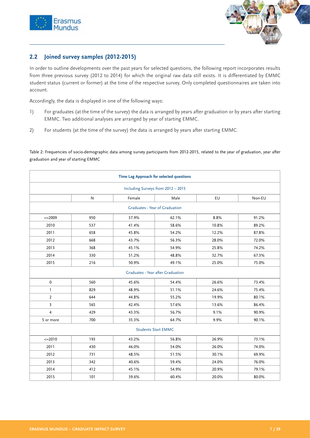



# **2.2 Joined survey samples (2012-2015)**

In order to outline developments over the past years for selected questions, the following report incorporates results from three previous survey (2012 to 2014) for which the original raw data still exists. It is differentiated by EMMC student status (current or former) at the time of the respective survey. Only completed questionnaires are taken into account.

Accordingly, the data is displayed in one of the following ways:

- 1) For graduates (at the time of the survey) the data is arranged by years after graduation or by years after starting EMMC. Two additional analyses are arranged by year of starting EMMC.
- 2) For students (at the time of the survey) the data is arranged by years after starting EMMC.

Table 2: Frequencies of socio-demographic data among survey participants from 2012-2015, related to the year of graduation, year after graduation and year of starting EMMC

| Time Lag Approach for selected questions |              |        |       |       |        |  |  |  |  |
|------------------------------------------|--------------|--------|-------|-------|--------|--|--|--|--|
| Including Surveys from 2012 - 2015       |              |        |       |       |        |  |  |  |  |
|                                          | $\mathsf{N}$ | Female | Male  | EU    | Non-EU |  |  |  |  |
| Graduates - Year of Graduation           |              |        |       |       |        |  |  |  |  |
| $\leq 2009$                              | 950          | 37.9%  | 62.1% | 8.8%  | 91.2%  |  |  |  |  |
| 2010                                     | 537          | 41.4%  | 58.6% | 10.8% | 89.2%  |  |  |  |  |
| 2011                                     | 658          | 45.8%  | 54.2% | 12.2% | 87.8%  |  |  |  |  |
| 2012                                     | 668          | 43.7%  | 56.3% | 28.0% | 72.0%  |  |  |  |  |
| 2013                                     | 368          | 45.1%  | 54.9% | 25.8% | 74.2%  |  |  |  |  |
| 2014                                     | 330          | 51.2%  | 48.8% | 32.7% | 67.3%  |  |  |  |  |
| 2015                                     | 216          | 50.9%  | 49.1% | 25.0% | 75.0%  |  |  |  |  |
| Graduates - Year after Graduation        |              |        |       |       |        |  |  |  |  |
| $\pmb{0}$                                | 560          | 45.6%  | 54.4% | 26.6% | 73.4%  |  |  |  |  |
| $\mathbf{1}$                             | 829          | 48.9%  | 51.1% | 24.6% | 75.4%  |  |  |  |  |
| $\overline{2}$                           | 644          | 44.8%  | 55.2% | 19.9% | 80.1%  |  |  |  |  |
| 3                                        | 565          | 42.4%  | 57.6% | 13.6% | 86.4%  |  |  |  |  |
| $\overline{4}$                           | 429          | 43.3%  | 56.7% | 9.1%  | 90.9%  |  |  |  |  |
| 5 or more                                | 700          | 35.3%  | 64.7% | 9.9%  | 90.1%  |  |  |  |  |
| <b>Students Start EMMC</b>               |              |        |       |       |        |  |  |  |  |
| $\leq 2010$                              | 193          | 43.2%  | 56.8% | 26.9% | 73.1%  |  |  |  |  |
| 2011                                     | 430          | 46.0%  | 54.0% | 26.0% | 74.0%  |  |  |  |  |
| 2012                                     | 731          | 48.5%  | 51.5% | 30.1% | 69.9%  |  |  |  |  |
| 2013                                     | 342          | 40.6%  | 59.4% | 24.0% | 76.0%  |  |  |  |  |
| 2014                                     | 412          | 45.1%  | 54.9% | 20.9% | 79.1%  |  |  |  |  |
| 2015                                     | 101          | 39.6%  | 60.4% | 20.0% | 80.0%  |  |  |  |  |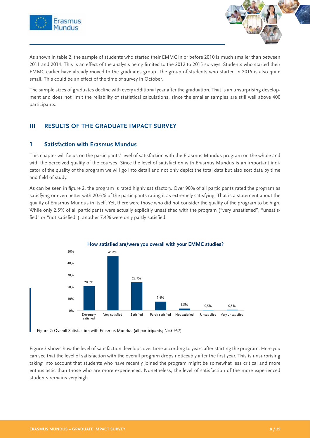



As shown in table 2, the sample of students who started their EMMC in or before 2010 is much smaller than between 2011 and 2014. This is an effect of the analysis being limited to the 2012 to 2015 surveys. Students who started their EMMC earlier have already moved to the graduates group. The group of students who started in 2015 is also quite small. This could be an effect of the time of survey in October.

The sample sizes of graduates decline with every additional year after the graduation. That is an unsurprising development and does not limit the reliability of statistical calculations, since the smaller samples are still well above 400 participants.

# **III RESULTS OF THE GRADUATE IMPACT SURVEY**

# **1 Satisfaction with Erasmus Mundus**

This chapter will focus on the participants' level of satisfaction with the Erasmus Mundus program on the whole and with the perceived quality of the courses. Since the level of satisfaction with Erasmus Mundus is an important indicator of the quality of the program we will go into detail and not only depict the total data but also sort data by time and field of study.

As can be seen in figure 2, the program is rated highly satisfactory. Over 90% of all participants rated the program as satisfying or even better with 20.6% of the participants rating it as extremely satisfying. That is a statement about the quality of Erasmus Mundus in itself. Yet, there were those who did not consider the quality of the program to be high. While only 2.5% of all participants were actually explicitly unsatisfied with the program ("very unsatisfied", "unsatisfied" or "not satisfied"), another 7.4% were only partly satisfied.



Figure 2: Overall Satisfaction with Erasmus Mundus (all participants; N=5,957)

Figure 3 shows how the level of satisfaction develops over time according to years after starting the program. Here you can see that the level of satisfaction with the overall program drops noticeably after the first year. This is unsurprising taking into account that students who have recently joined the program might be somewhat less critical and more enthusiastic than those who are more experienced. Nonetheless, the level of satisfaction of the more experienced students remains very high.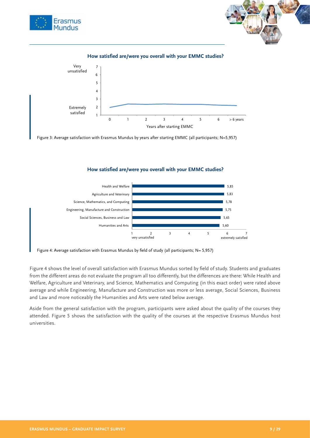



### **How satisfied are/were you overall with your EMMC studies?**



Figure 3: Average satisfaction with Erasmus Mundus by years after starting EMMC (all participants; N=5,957)

### **How satisfied are/were you overall with your EMMC studies?**



Figure 4: Average satisfaction with Erasmus Mundus by field of study (all participants; N= 5,957)

Figure 4 shows the level of overall satisfaction with Erasmus Mundus sorted by field of study. Students and graduates from the different areas do not evaluate the program all too differently, but the differences are there: While Health and Welfare, Agriculture and Veterinary, and Science, Mathematics and Computing (in this exact order) were rated above average and while Engineering, Manufacture and Construction was more or less average, Social Sciences, Business and Law and more noticeably the Humanities and Arts were rated below average.

Aside from the general satisfaction with the program, participants were asked about the quality of the courses they attended. Figure 5 shows the satisfaction with the quality of the courses at the respective Erasmus Mundus host universities.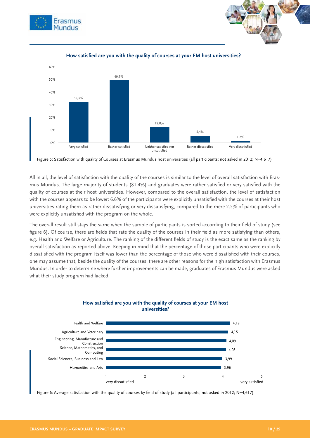





### **How satisfied are you with the quality of courses at your EM host universities?**

Figure 5: Satisfaction with quality of Courses at Erasmus Mundus host universities (all participants; not asked in 2012; N=4,617)

All in all, the level of satisfaction with the quality of the courses is similar to the level of overall satisfaction with Erasmus Mundus. The large majority of students (81.4%) and graduates were rather satisfied or very satisfied with the quality of courses at their host universities. However, compared to the overall satisfaction, the level of satisfaction with the courses appears to be lower: 6.6% of the participants were explicitly unsatisfied with the courses at their host universities rating them as rather dissatisfying or very dissatisfying, compared to the mere 2.5% of participants who were explicitly unsatisfied with the program on the whole.

The overall result still stays the same when the sample of participants is sorted according to their field of study (see figure 6). Of course, there are fields that rate the quality of the courses in their field as more satisfying than others, e.g. Health and Welfare or Agriculture. The ranking of the different fields of study is the exact same as the ranking by overall satisfaction as reported above. Keeping in mind that the percentage of those participants who were explicitly dissatisfied with the program itself was lower than the percentage of those who were dissatisfied with their courses, one may assume that, beside the quality of the courses, there are other reasons for the high satisfaction with Erasmus Mundus. In order to determine where further improvements can be made, graduates of Erasmus Mundus were asked what their study program had lacked.



### **How satisfied are you with the quality of courses at your EM host universities?**

Figure 6: Average satisfaction with the quality of courses by field of study (all participants; not asked in 2012; N=4,617)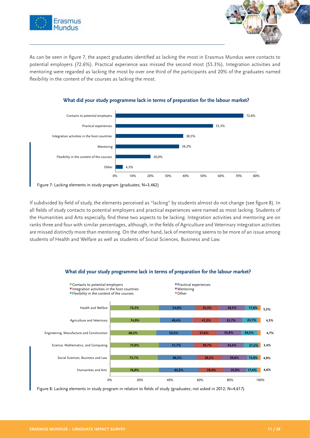



As can be seen in figure 7, the aspect graduates identified as lacking the most in Erasmus Mundus were contacts to potential employers (72.6%). Practical experience was missed the second most (55.3%). Integration activities and mentoring were regarded as lacking the most by over one third of the participants and 20% of the graduates named flexibility in the content of the courses as lacking the most.



### **What did your study programme lack in terms of preparation for the labour market?**

If subdivided by field of study, the elements perceived as "lacking" by students almost do not change (see figure 8). In all fields of study contacts to potential employers and practical experiences were named as most lacking. Students of the Humanities and Arts especially, find these two aspects to be lacking. Integration activities and mentoring are on ranks three and four with similar percentages, although, in the fields of Agriculture and Veterinary integration activities are missed distinctly more than mentoring. On the other hand, lack of mentoring seems to be more of an issue among students of Health and Welfare as well as students of Social Sciences, Business and Law.



### **What did your study programme lack in terms of preparation for the labour market?**

Figure 8: Lacking elements in study program in relation to fields of study (graduates; not asked in 2012; N=4,617)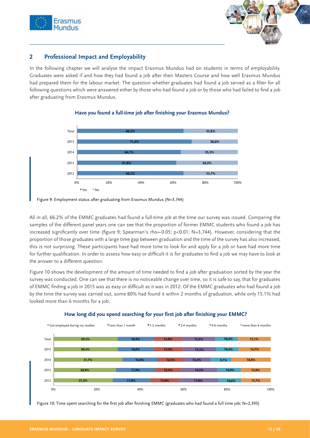



# **2 Professional Impact and Employability**

In the following chapter we will analyse the impact Erasmus Mundus had on students in terms of employability. Graduates were asked if and how they had found a job after their Masters Course and how well Erasmus Mundus had prepared them for the labour market. The question whether graduates had found a job served as a filter for all following questions which were answered either by those who had found a job or by those who had failed to find a job after graduating from Erasmus Mundus.



### **Have you found a full-time job after finishing your Erasmus Mundus?**

All in all, 66.2% of the EMMC graduates had found a full-time job at the time our survey was issued. Comparing the samples of the different panel years one can see that the proportion of former EMMC students who found a job has increased significantly over time (figure 9; Spearman's rho=-0.05; p<0.01; N=3,744). However, considering that the proportion of those graduates with a large time gap between graduation and the time of the survey has also increased, this is not surprising. These participants have had more time to look for and apply for a job or have had more time for further qualification. In order to assess how easy or difficult it is for graduates to find a job we may have to look at the answer to a different question.

Figure 10 shows the development of the amount of time needed to find a job after graduation sorted by the year the survey was conducted. One can see that there is no noticeable change over time, so it is safe to say, that for graduates of EMMC finding a job in 2015 was as easy or difficult as it was in 2012: Of the EMMC graduates who had found a job by the time the survey was carried out, some 60% had found it within 2 months of graduation, while only 15.1% had looked more than 6 months for a job.



### **How long did you spend searching for your first job after finishing your EMMC?**

Figure 10: Time spent searching for the first job after finishing EMMC (graduates who had found a full time job; N=2,393)

Figure 9: Employment status after graduating from Erasmus Mundus (N=3,744)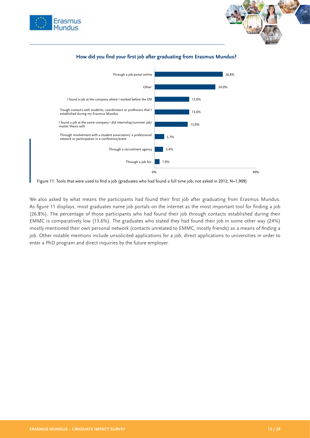



# **How did you find your first job after graduating from Erasmus Mundus?**



Figure 11: Tools that were used to find a job (graduates who had found a full time job; not asked in 2012; N=1,909)

We also asked by what means the participants had found their first job after graduating from Erasmus Mundus. As figure 11 displays, most graduates name job portals on the internet as the most important tool for finding a job (26.8%). The percentage of those participants who had found their job through contacts established during their EMMC is comparatively low (13.6%). The graduates who stated they had found their job in some other way (24%) mostly mentioned their own personal network (contacts unrelated to EMMC, mostly friends) as a means of finding a job. Other notable mentions include unsolicited applications for a job, direct applications to universities in order to enter a PhD program and direct inquiries by the future employer.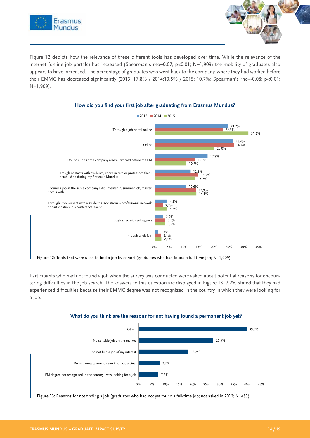



Figure 12 depicts how the relevance of these different tools has developed over time. While the relevance of the internet (online job portals) has increased (Spearman's rho=0.07; p<0.01; N=1,909) the mobility of graduates also appears to have increased. The percentage of graduates who went back to the company, where they had worked before their EMMC has decreased significantly (2013: 17.8% / 2014:13.5% / 2015: 10.7%; Spearman's rho=-0.08; p<0.01; N=1,909).



### **How did you find your first job after graduating from Erasmus Mundus?**

Figure 12: Tools that were used to find a job by cohort (graduates who had found a full time job; N=1,909)

Participants who had not found a job when the survey was conducted were asked about potential reasons for encountering difficulties in the job search. The answers to this question are displayed in Figure 13. 7.2% stated that they had experienced difficulties because their EMMC degree was not recognized in the country in which they were looking for a job.



**What do you think are the reasons for not having found a permanent job yet?** 

Figure 13: Reasons for not finding a job (graduates who had not yet found a full-time job; not asked in 2012; N=483)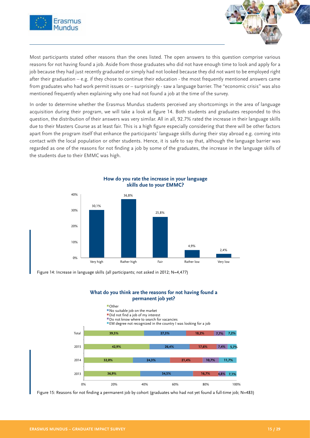

Most participants stated other reasons than the ones listed. The open answers to this question comprise various reasons for not having found a job. Aside from those graduates who did not have enough time to look and apply for a job because they had just recently graduated or simply had not looked because they did not want to be employed right after their graduation – e.g. if they chose to continue their education - the most frequently mentioned answers came from graduates who had work permit issues or – surprisingly - saw a language barrier. The "economic crisis" was also mentioned frequently when explaining why one had not found a job at the time of the survey.

In order to determine whether the Erasmus Mundus students perceived any shortcomings in the area of language acquisition during their program, we will take a look at figure 14. Both students and graduates responded to this question, the distribution of their answers was very similar. All in all, 92.7% rated the increase in their language skills due to their Masters Course as at least fair. This is a high figure especially considering that there will be other factors apart from the program itself that enhance the participants' language skills during their stay abroad e.g. coming into contact with the local population or other students. Hence, it is safe to say that, although the language barrier was regarded as one of the reasons for not finding a job by some of the graduates, the increase in the language skills of the students due to their EMMC was high.



Figure 14: Increase in language skills (all participants; not asked in 2012; N=4,477)





Figure 15: Reasons for not finding a permanent job by cohort (graduates who had not yet found a full-time job; N=483)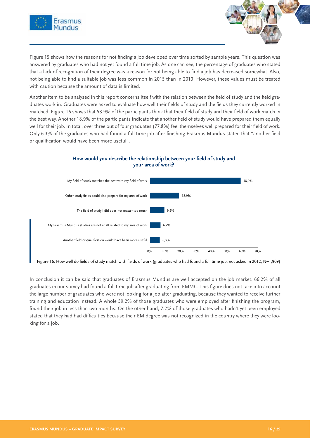

Figure 15 shows how the reasons for not finding a job developed over time sorted by sample years. This question was answered by graduates who had not yet found a full time job. As one can see, the percentage of graduates who stated that a lack of recognition of their degree was a reason for not being able to find a job has decreased somewhat. Also, not being able to find a suitable job was less common in 2015 than in 2013. However, these values must be treated with caution because the amount of data is limited.

Another item to be analysed in this report concerns itself with the relation between the field of study and the field graduates work in. Graduates were asked to evaluate how well their fields of study and the fields they currently worked in matched. Figure 16 shows that 58.9% of the participants think that their field of study and their field of work match in the best way. Another 18.9% of the participants indicate that another field of study would have prepared them equally well for their job. In total, over three out of four graduates (77.8%) feel themselves well prepared for their field of work. Only 6.3% of the graduates who had found a full-time job after finishing Erasmus Mundus stated that "another field or qualification would have been more useful".



### **How would you describe the relationship between your field of study and your area of work?**

Figure 16: How well do fields of study match with fields of work (graduates who had found a full time job; not asked in 2012; N=1,909)

In conclusion it can be said that graduates of Erasmus Mundus are well accepted on the job market. 66.2% of all graduates in our survey had found a full time job after graduating from EMMC. This figure does not take into account the large number of graduates who were not looking for a job after graduating, because they wanted to receive further training and education instead. A whole 59.2% of those graduates who were employed after finishing the program, found their job in less than two months. On the other hand, 7.2% of those graduates who hadn't yet been employed stated that they had had difficulties because their EM degree was not recognized in the country where they were looking for a job.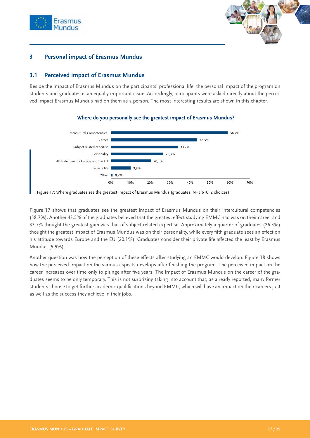



# **3 Personal impact of Erasmus Mundus**

# **3.1 Perceived impact of Erasmus Mundus**

Beside the impact of Erasmus Mundus on the participants' professional life, the personal impact of the program on students and graduates is an equally important issue. Accordingly, participants were asked directly about the perceived impact Erasmus Mundus had on them as a person. The most interesting results are shown in this chapter.



### **Where do you personally see the greatest impact of Erasmus Mundus?**

Figure 17: Where graduates see the greatest impact of Erasmus Mundus (graduates; N=3,610; 2 choices)

Figure 17 shows that graduates see the greatest impact of Erasmus Mundus on their intercultural competencies (58.7%). Another 43.5% of the graduates believed that the greatest effect studying EMMC had was on their career and 33.7% thought the greatest gain was that of subject related expertise. Approximately a quarter of graduates (26.3%) thought the greatest impact of Erasmus Mundus was on their personality, while every fifth graduate sees an effect on his attitude towards Europe and the EU (20.1%). Graduates consider their private life affected the least by Erasmus Mundus (9.9%).

Another question was how the perception of these effects after studying an EMMC would develop. Figure 18 shows how the perceived impact on the various aspects develops after finishing the program. The perceived impact on the career increases over time only to plunge after five years. The impact of Erasmus Mundus on the career of the graduates seems to be only temporary. This is not surprising taking into account that, as already reported, many former students choose to get further academic qualifications beyond EMMC, which will have an impact on their careers just as well as the success they achieve in their jobs.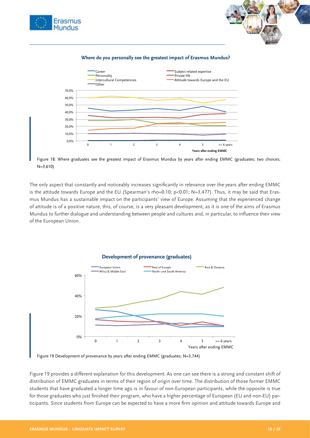



### **Where do you personally see the greatest impact of Erasmus Mundus?**

 Figure 18: Where graduates see the greatest impact of Erasmus Mundus by years after ending EMMC (graduates; two choices; N=3,610)

The only aspect that constantly and noticeably increases significantly in relevance over the years after ending EMMC is the attitude towards Europe and the EU (Spearman's rho=0.10; p<0.01; N=3,477). Thus, it may be said that Erasmus Mundus has a sustainable impact on the participants' view of Europe. Assuming that the experienced change of attitude is of a positive nature, this, of course, is a very pleasant development, as it is one of the aims of Erasmus Mundus to further dialogue and understanding between people and cultures and, in particular, to influence their view of the European Union.



Figure 19 Development of provenance by years after ending EMMC (graduates; N=3,744)

Figure 19 provides a different explanation for this development. As one can see there is a strong and constant shift of distribution of EMMC graduates in terms of their region of origin over time. The distribution of those former EMMC students that have graduated a longer time ago is in favour of non-European participants, while the opposite is true for those graduates who just finished their program, who have a higher percentage of European (EU and non-EU) participants. Since students from Europe can be expected to have a more firm opinion and attitude towards Europe and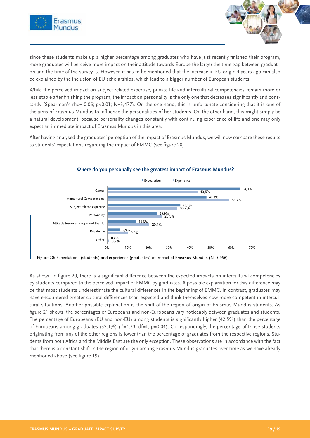

since these students make up a higher percentage among graduates who have just recently finished their program, more graduates will perceive more impact on their attitude towards Europe the larger the time gap between graduation and the time of the survey is. However, it has to be mentioned that the increase in EU origin 4 years ago can also be explained by the inclusion of EU scholarships, which lead to a bigger number of European students.

While the perceived impact on subject related expertise, private life and intercultural competencies remain more or less stable after finishing the program, the impact on personality is the only one that decreases significantly and constantly (Spearman's rho=-0.06; p<0.01; N=3,477). On the one hand, this is unfortunate considering that it is one of the aims of Erasmus Mundus to influence the personalities of her students. On the other hand, this might simply be a natural development, because personality changes constantly with continuing experience of life and one may only expect an immediate impact of Erasmus Mundus in this area.

After having analysed the graduates' perception of the impact of Erasmus Mundus, we will now compare these results to students' expectations regarding the impact of EMMC (see figure 20).



### **Where do you personally see the greatest impact of Erasmus Mundus?**

Figure 20: Expectations (students) and experience (graduates) of impact of Erasmus Mundus (N=5,956)

As shown in figure 20, there is a significant difference between the expected impacts on intercultural competencies by students compared to the perceived impact of EMMC by graduates. A possible explanation for this difference may be that most students underestimate the cultural differences in the beginning of EMMC. In contrast, graduates may have encountered greater cultural differences than expected and think themselves now more competent in intercultural situations. Another possible explanation is the shift of the region of origin of Erasmus Mundus students. As figure 21 shows, the percentages of Europeans and non-Europeans vary noticeably between graduates and students. The percentage of Europeans (EU and non-EU) among students is significantly higher (42.5%) than the percentage of Europeans among graduates (32.1%) ( $^{2}=4.33$ ; df=1; p=0.04). Correspondingly, the percentage of those students originating from any of the other regions is lower than the percentage of graduates from the respective regions. Students from both Africa and the Middle East are the only exception. These observations are in accordance with the fact that there is a constant shift in the region of origin among Erasmus Mundus graduates over time as we have already mentioned above (see figure 19).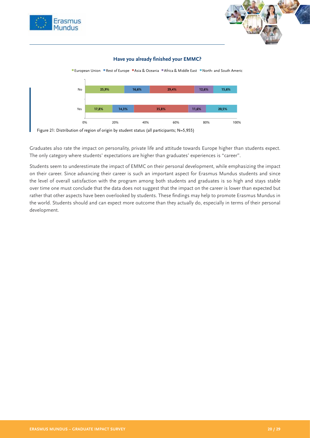



### **Have you already finished your EMMC?**

European Union Uniost of Europe Unita & Oceania Unitrica & Middle East Uniorth- and South Americ



Figure 21: Distribution of region of origin by student status (all participants; N=5,955)

Graduates also rate the impact on personality, private life and attitude towards Europe higher than students expect. The only category where students' expectations are higher than graduates' experiences is "career".

Students seem to underestimate the impact of EMMC on their personal development, while emphasizing the impact on their career. Since advancing their career is such an important aspect for Erasmus Mundus students and since the level of overall satisfaction with the program among both students and graduates is so high and stays stable over time one must conclude that the data does not suggest that the impact on the career is lower than expected but rather that other aspects have been overlooked by students. These findings may help to promote Erasmus Mundus in the world. Students should and can expect more outcome than they actually do, especially in terms of their personal development.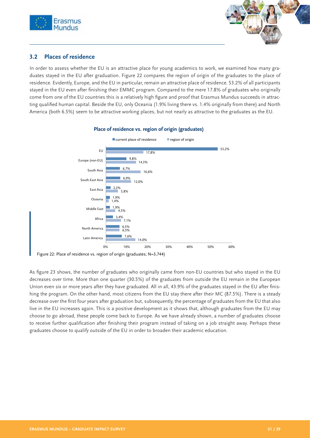



# **3.2 Places of residence**

In order to assess whether the EU is an attractive place for young academics to work, we examined how many graduates stayed in the EU after graduation. Figure 22 compares the region of origin of the graduates to the place of residence. Evidently, Europe, and the EU in particular, remain an attractive place of residence. 53.2% of all participants stayed in the EU even after finishing their EMMC program. Compared to the mere 17.8% of graduates who originally come from one of the EU countries this is a relatively high figure and proof that Erasmus Mundus succeeds in attracting qualified human capital. Beside the EU, only Oceania (1.9% living there vs. 1.4% originally from there) and North America (both 6.5%) seem to be attractive working places, but not nearly as attractive to the graduates as the EU.



### **Place of residence vs. region of origin (graduates)**

As figure 23 shows, the number of graduates who originally came from non-EU countries but who stayed in the EU decreases over time. More than one quarter (30.5%) of the graduates from outside the EU remain in the European Union even six or more years after they have graduated. All in all, 43.9% of the graduates stayed in the EU after finishing the program. On the other hand, most citizens from the EU stay there after their MC (87.5%). There is a steady decrease over the first four years after graduation but, subsequently, the percentage of graduates from the EU that also live in the EU increases again. This is a positive development as it shows that, although graduates from the EU may choose to go abroad, these people come back to Europe. As we have already shown, a number of graduates choose to receive further qualification after finishing their program instead of taking on a job straight away. Perhaps these graduates choose to qualify outside of the EU in order to broaden their academic education.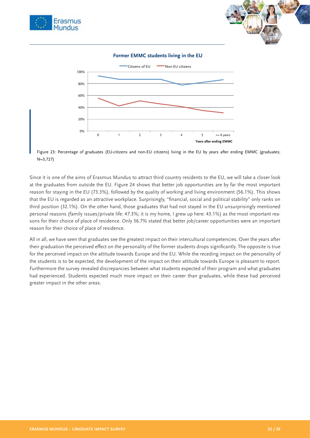



### **Former EMMC students living in the EU**



 Figure 23: Percentage of graduates (EU-citizens and non-EU citizens) living in the EU by years after ending EMMC (graduates; N=3,727)

Since it is one of the aims of Erasmus Mundus to attract third country residents to the EU, we will take a closer look at the graduates from outside the EU. Figure 24 shows that better job opportunities are by far the most important reason for staying in the EU (73.3%), followed by the quality of working and living environment (56.1%). This shows that the EU is regarded as an attractive workplace. Surprisingly, "financial, social and political stability" only ranks on third position (32.1%). On the other hand, those graduates that had not stayed in the EU unsurprisingly mentioned personal reasons (family issues/private life: 47.3%; it is my home, I grew up here: 43.1%) as the most important reasons for their choice of place of residence. Only 36.7% stated that better job/career opportunities were an important reason for their choice of place of residence.

All in all, we have seen that graduates see the greatest impact on their intercultural competencies. Over the years after their graduation the perceived effect on the personality of the former students drops significantly. The opposite is true for the perceived impact on the attitude towards Europe and the EU. While the receding impact on the personality of the students is to be expected, the development of the impact on their attitude towards Europe is pleasant to report. Furthermore the survey revealed discrepancies between what students expected of their program and what graduates had experienced. Students expected much more impact on their career than graduates, while these had perceived greater impact in the other areas.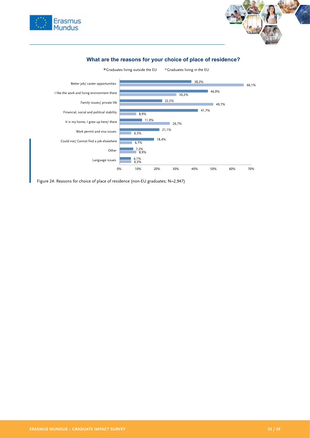



### **What are the reasons for your choice of place of residence?**



Figure 24: Reasons for choice of place of residence (non-EU graduates; N=2,947)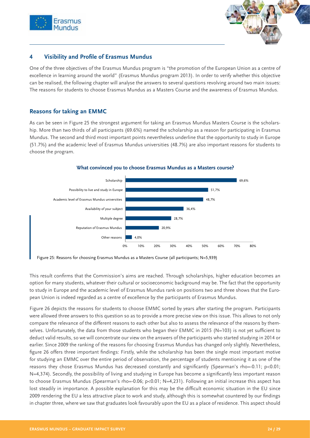



# **4 Visibility and Profile of Erasmus Mundus**

One of the three objectives of the Erasmus Mundus program is "the promotion of the European Union as a centre of excellence in learning around the world" (Erasmus Mundus program 2013). In order to verify whether this objective can be realised, the following chapter will analyse the answers to several questions revolving around two main issues: The reasons for students to choose Erasmus Mundus as a Masters Course and the awareness of Erasmus Mundus.

# **Reasons for taking an EMMC**

As can be seen in Figure 25 the strongest argument for taking an Erasmus Mundus Masters Course is the scholarship. More than two thirds of all participants (69.6%) named the scholarship as a reason for participating in Erasmus Mundus. The second and third most important points nevertheless underline that the opportunity to study in Europe (51.7%) and the academic level of Erasmus Mundus universities (48.7%) are also important reasons for students to choose the program.



### **What convinced you to choose Erasmus Mundus as a Masters course?**

Figure 25: Reasons for choosing Erasmus Mundus as a Masters Course (all participants; N=5,939)

This result confirms that the Commission's aims are reached. Through scholarships, higher education becomes an option for many students, whatever their cultural or socioeconomic background may be. The fact that the opportunity to study in Europe and the academic level of Erasmus Mundus rank on positions two and three shows that the European Union is indeed regarded as a centre of excellence by the participants of Erasmus Mundus.

Figure 26 depicts the reasons for students to choose EMMC sorted by years after starting the program. Participants were allowed three answers to this question so as to provide a more precise view on this issue. This allows to not only compare the relevance of the different reasons to each other but also to assess the relevance of the reasons by themselves. Unfortunately, the data from those students who began their EMMC in 2015 (N=103) is not yet sufficient to deduct valid results, so we will concentrate our view on the answers of the participants who started studying in 2014 or earlier. Since 2009 the ranking of the reasons for choosing Erasmus Mundus has changed only slightly. Nevertheless, figure 26 offers three important findings: Firstly, while the scholarship has been the single most important motive for studying an EMMC over the entire period of observation, the percentage of students mentioning it as one of the reasons they chose Erasmus Mundus has decreased constantly and significantly (Spearman's rho=-0.11; p<0.01; N=4,374). Secondly, the possibility of living and studying in Europe has become a significantly less important reason to choose Erasmus Mundus (Spearman's rho=-0.06; p<0.01; N=4,231). Following an initial increase this aspect has lost steadily in importance. A possible explanation for this may be the difficult economic situation in the EU since 2009 rendering the EU a less attractive place to work and study, although this is somewhat countered by our findings in chapter three, where we saw that graduates look favourably upon the EU as a place of residence. This aspect should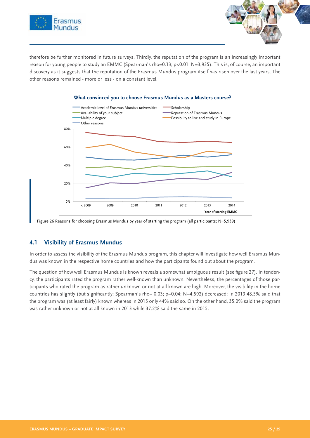



therefore be further monitored in future surveys. Thirdly, the reputation of the program is an increasingly important reason for young people to study an EMMC (Spearman's rho=0.13; p<0.01; N=3,935). This is, of course, an important discovery as it suggests that the reputation of the Erasmus Mundus program itself has risen over the last years. The other reasons remained - more or less - on a constant level.



### **What convinced you to choose Erasmus Mundus as a Masters course?**

Figure 26 Reasons for choosing Erasmus Mundus by year of starting the program (all participants; N=5,939)

# **4.1 Visibility of Erasmus Mundus**

In order to assess the visibility of the Erasmus Mundus program, this chapter will investigate how well Erasmus Mundus was known in the respective home countries and how the participants found out about the program.

The question of how well Erasmus Mundus is known reveals a somewhat ambiguous result (see figure 27). In tendency, the participants rated the program rather well-known than unknown. Nevertheless, the percentages of those participants who rated the program as rather unknown or not at all known are high. Moreover, the visibility in the home countries has slightly (but significantly: Spearman's rho= 0.03; p=0.04; N=4,592) decreased: In 2013 48.5% said that the program was (at least fairly) known whereas in 2015 only 44% said so. On the other hand, 35.0% said the program was rather unknown or not at all known in 2013 while 37.2% said the same in 2015.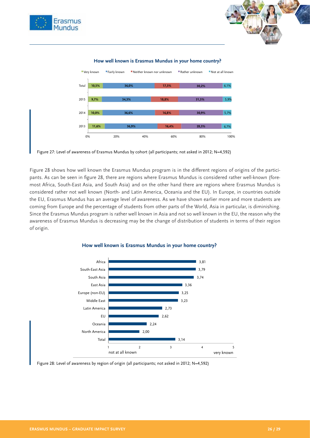





### **How well known is Erasmus Mundus in your home country?**

Figure 28 shows how well known the Erasmus Mundus program is in the different regions of origins of the participants. As can be seen in figure 28, there are regions where Erasmus Mundus is considered rather well-known (foremost Africa, South-East Asia, and South Asia) and on the other hand there are regions where Erasmus Mundus is considered rather not well known (North- and Latin America, Oceania and the EU). In Europe, in countries outside the EU, Erasmus Mundus has an average level of awareness. As we have shown earlier more and more students are coming from Europe and the percentage of students from other parts of the World, Asia in particular, is diminishing. Since the Erasmus Mundus program is rather well known in Asia and not so well known in the EU, the reason why the awareness of Erasmus Mundus is decreasing may be the change of distribution of students in terms of their region of origin.



### **How well known is Erasmus Mundus in your home country?**

Figure 27: Level of awareness of Erasmus Mundus by cohort (all participants; not asked in 2012; N=4,592)

Figure 28: Level of awareness by region of origin (all participants; not asked in 2012; N=4,592)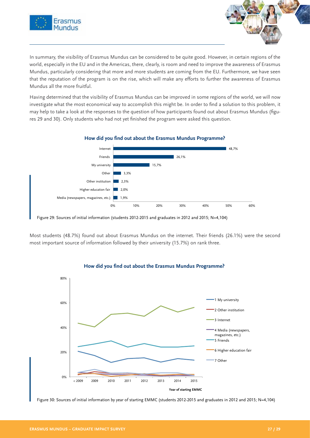

In summary, the visibility of Erasmus Mundus can be considered to be quite good. However, in certain regions of the world, especially in the EU and in the Americas, there, clearly, is room and need to improve the awareness of Erasmus Mundus, particularly considering that more and more students are coming from the EU. Furthermore, we have seen that the reputation of the program is on the rise, which will make any efforts to further the awareness of Erasmus Mundus all the more fruitful.

Having determined that the visibility of Erasmus Mundus can be improved in some regions of the world, we will now investigate what the most economical way to accomplish this might be. In order to find a solution to this problem, it may help to take a look at the responses to the question of how participants found out about Erasmus Mundus (figures 29 and 30). Only students who had not yet finished the program were asked this question.



### **How did you find out about the Erasmus Mundus Programme?**

Figure 29: Sources of initial information (students 2012-2015 and graduates in 2012 and 2015; N=4,104)

Most students (48.7%) found out about Erasmus Mundus on the internet. Their friends (26.1%) were the second most important source of information followed by their university (15.7%) on rank three.



### **How did you find out about the Erasmus Mundus Programme?**

Figure 30: Sources of initial information by year of starting EMMC (students 2012-2015 and graduates in 2012 and 2015; N=4,104)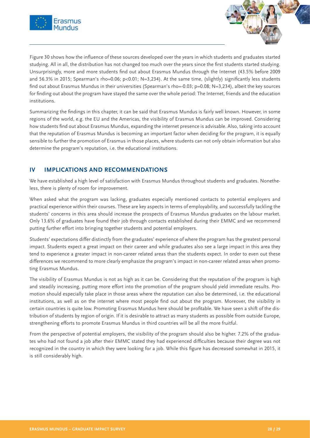



Figure 30 shows how the influence of these sources developed over the years in which students and graduates started studying. All in all, the distribution has not changed too much over the years since the first students started studying. Unsurprisingly, more and more students find out about Erasmus Mundus through the Internet (43.5% before 2009 and 56.3% in 2015; Spearman's rho=0.06; p<0.01; N=3,234). At the same time, (slightly) significantly less students find out about Erasmus Mundus in their universities (Spearman's rho=-0.03; p=0.08; N=3,234), albeit the key sources for finding out about the program have stayed the same over the whole period: The Internet, friends and the education institutions.

Summarizing the findings in this chapter, it can be said that Erasmus Mundus is fairly well known. However, in some regions of the world, e.g. the EU and the Americas, the visibility of Erasmus Mundus can be improved. Considering how students find out about Erasmus Mundus, expanding the internet presence is advisable. Also, taking into account that the reputation of Erasmus Mundus is becoming an important factor when deciding for the program, it is equally sensible to further the promotion of Erasmus in those places, where students can not only obtain information but also determine the program's reputation, i.e. the educational institutions.

# **IV IMPLICATIONS AND RECOMMENDATIONS**

We have established a high level of satisfaction with Erasmus Mundus throughout students and graduates. Nonetheless, there is plenty of room for improvement.

When asked what the program was lacking, graduates especially mentioned contacts to potential employers and practical experience within their courses. These are key aspects in terms of employability, and successfully tackling the students' concerns in this area should increase the prospects of Erasmus Mundus graduates on the labour market. Only 13.6% of graduates have found their job through contacts established during their EMMC and we recommend putting further effort into bringing together students and potential employers.

Students' expectations differ distinctly from the graduates' experience of where the program has the greatest personal impact. Students expect a great impact on their career and while graduates also see a large impact in this area they tend to experience a greater impact in non-career related areas than the students expect. In order to even out these differences we recommend to more clearly emphasize the program's impact in non-career related areas when promoting Erasmus Mundus.

The visibility of Erasmus Mundus is not as high as it can be. Considering that the reputation of the program is high and steadily increasing, putting more effort into the promotion of the program should yield immediate results. Promotion should especially take place in those areas where the reputation can also be determined, i.e. the educational institutions, as well as on the internet where most people find out about the program. Moreover, the visibility in certain countries is quite low. Promoting Erasmus Mundus here should be profitable. We have seen a shift of the distribution of students by region of origin. If it is desirable to attract as many students as possible from outside Europe, strengthening efforts to promote Erasmus Mundus in third countries will be all the more fruitful.

From the perspective of potential employers, the visibility of the program should also be higher. 7.2% of the graduates who had not found a job after their EMMC stated they had experienced difficulties because their degree was not recognized in the country in which they were looking for a job. While this figure has decreased somewhat in 2015, it is still considerably high.